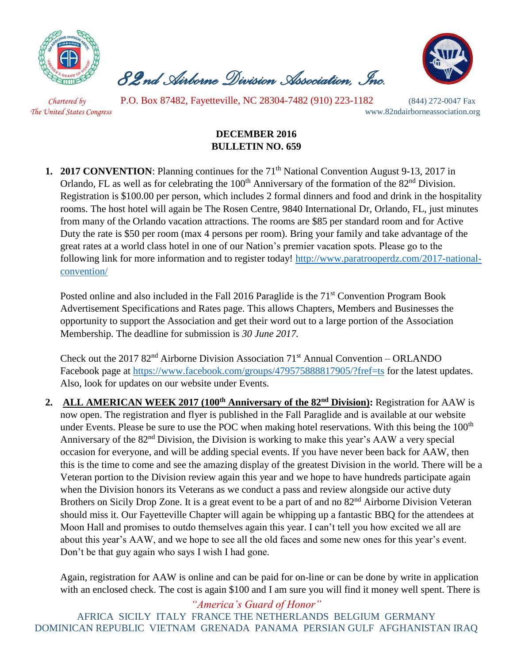

 *82nd Airborne Division Association, Inc.* 



 *Chartered by* P.O. Box 87482, Fayetteville, NC 28304-7482 (910) 223-1182 (844) 272-0047 Fax *The United States Congress* www.82ndairborneassociation.org

## **DECEMBER 2016 BULLETIN NO. 659**

**1. 2017 CONVENTION**: Planning continues for the 71<sup>th</sup> National Convention August 9-13, 2017 in Orlando, FL as well as for celebrating the 100<sup>th</sup> Anniversary of the formation of the 82<sup>nd</sup> Division. Registration is \$100.00 per person, which includes 2 formal dinners and food and drink in the hospitality rooms. The host hotel will again be The Rosen Centre, 9840 International Dr, Orlando, FL, just minutes from many of the Orlando vacation attractions. The rooms are \$85 per standard room and for Active Duty the rate is \$50 per room (max 4 persons per room). Bring your family and take advantage of the great rates at a world class hotel in one of our Nation's premier vacation spots. Please go to the following link for more information and to register today! [http://www.paratrooperdz.com/2017-national](http://www.paratrooperdz.com/2017-national-convention/)[convention/](http://www.paratrooperdz.com/2017-national-convention/)

Posted online and also included in the Fall 2016 Paraglide is the  $71<sup>st</sup>$  Convention Program Book Advertisement Specifications and Rates page. This allows Chapters, Members and Businesses the opportunity to support the Association and get their word out to a large portion of the Association Membership. The deadline for submission is *30 June 2017.*

Check out the 2017  $82<sup>nd</sup>$  Airborne Division Association 71<sup>st</sup> Annual Convention – ORLANDO Facebook page at<https://www.facebook.com/groups/479575888817905/?fref=ts> for the latest updates. Also, look for updates on our website under Events.

**2. ALL AMERICAN WEEK 2017 (100th Anniversary of the 82nd Division):** Registration for AAW is now open. The registration and flyer is published in the Fall Paraglide and is available at our website under Events. Please be sure to use the POC when making hotel reservations. With this being the 100<sup>th</sup> Anniversary of the 82<sup>nd</sup> Division, the Division is working to make this year's AAW a very special occasion for everyone, and will be adding special events. If you have never been back for AAW, then this is the time to come and see the amazing display of the greatest Division in the world. There will be a Veteran portion to the Division review again this year and we hope to have hundreds participate again when the Division honors its Veterans as we conduct a pass and review alongside our active duty Brothers on Sicily Drop Zone. It is a great event to be a part of and no 82<sup>nd</sup> Airborne Division Veteran should miss it. Our Fayetteville Chapter will again be whipping up a fantastic BBQ for the attendees at Moon Hall and promises to outdo themselves again this year. I can't tell you how excited we all are about this year's AAW, and we hope to see all the old faces and some new ones for this year's event. Don't be that guy again who says I wish I had gone.

Again, registration for AAW is online and can be paid for on-line or can be done by write in application with an enclosed check. The cost is again \$100 and I am sure you will find it money well spent. There is

*"America's Guard of Honor"* AFRICA SICILY ITALY FRANCE THE NETHERLANDS BELGIUM GERMANY DOMINICAN REPUBLIC VIETNAM GRENADA PANAMA PERSIAN GULF AFGHANISTAN IRAQ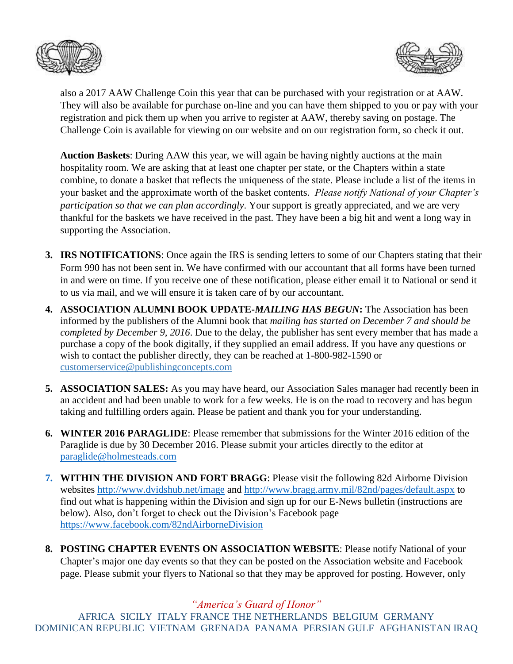



also a 2017 AAW Challenge Coin this year that can be purchased with your registration or at AAW. They will also be available for purchase on-line and you can have them shipped to you or pay with your registration and pick them up when you arrive to register at AAW, thereby saving on postage. The Challenge Coin is available for viewing on our website and on our registration form, so check it out.

**Auction Baskets**: During AAW this year, we will again be having nightly auctions at the main hospitality room. We are asking that at least one chapter per state, or the Chapters within a state combine, to donate a basket that reflects the uniqueness of the state. Please include a list of the items in your basket and the approximate worth of the basket contents. *Please notify National of your Chapter's participation so that we can plan accordingly*. Your support is greatly appreciated, and we are very thankful for the baskets we have received in the past. They have been a big hit and went a long way in supporting the Association.

- **3. IRS NOTIFICATIONS**: Once again the IRS is sending letters to some of our Chapters stating that their Form 990 has not been sent in. We have confirmed with our accountant that all forms have been turned in and were on time. If you receive one of these notification, please either email it to National or send it to us via mail, and we will ensure it is taken care of by our accountant.
- **4. ASSOCIATION ALUMNI BOOK UPDATE-***MAILING HAS BEGUN***:** The Association has been informed by the publishers of the Alumni book that *mailing has started on December 7 and should be completed by December 9, 2016*. Due to the delay, the publisher has sent every member that has made a purchase a copy of the book digitally, if they supplied an email address. If you have any questions or wish to contact the publisher directly, they can be reached at 1-800-982-1590 or [customerservice@publishingconcepts.com](mailto:customerservice@publishingconcepts.com)
- **5. ASSOCIATION SALES:** As you may have heard, our Association Sales manager had recently been in an accident and had been unable to work for a few weeks. He is on the road to recovery and has begun taking and fulfilling orders again. Please be patient and thank you for your understanding.
- **6. WINTER 2016 PARAGLIDE**: Please remember that submissions for the Winter 2016 edition of the Paraglide is due by 30 December 2016. Please submit your articles directly to the editor at [paraglide@holmesteads.com](mailto:paraglide@holmesteads.com)
- **7. WITHIN THE DIVISION AND FORT BRAGG**: Please visit the following 82d Airborne Division websites<http://www.dvidshub.net/image> and [http://www.bragg.army.mil/82nd/pages/default.aspx](http://www.bragg.army.mil/82ND/Pages/default.aspx) to find out what is happening within the Division and sign up for our E-News bulletin (instructions are below). Also, don't forget to check out the Division's Facebook page <https://www.facebook.com/82ndAirborneDivision>
- **8. POSTING CHAPTER EVENTS ON ASSOCIATION WEBSITE**: Please notify National of your Chapter's major one day events so that they can be posted on the Association website and Facebook page. Please submit your flyers to National so that they may be approved for posting. However, only

*"America's Guard of Honor"*

AFRICA SICILY ITALY FRANCE THE NETHERLANDS BELGIUM GERMANY DOMINICAN REPUBLIC VIETNAM GRENADA PANAMA PERSIAN GULF AFGHANISTAN IRAQ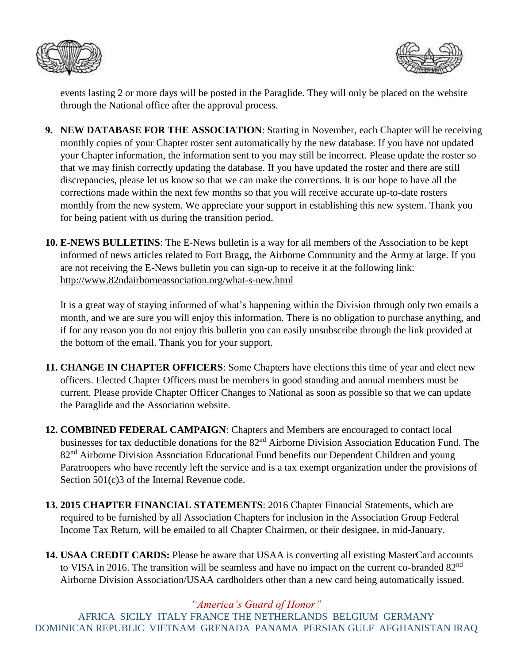



events lasting 2 or more days will be posted in the Paraglide. They will only be placed on the website through the National office after the approval process.

- **9. NEW DATABASE FOR THE ASSOCIATION**: Starting in November, each Chapter will be receiving monthly copies of your Chapter roster sent automatically by the new database. If you have not updated your Chapter information, the information sent to you may still be incorrect. Please update the roster so that we may finish correctly updating the database. If you have updated the roster and there are still discrepancies, please let us know so that we can make the corrections. It is our hope to have all the corrections made within the next few months so that you will receive accurate up-to-date rosters monthly from the new system. We appreciate your support in establishing this new system. Thank you for being patient with us during the transition period.
- **10. E-NEWS BULLETINS**: The E-News bulletin is a way for all members of the Association to be kept informed of news articles related to Fort Bragg, the Airborne Community and the Army at large. If you are not receiving the E-News bulletin you can sign-up to receive it at the following link: <http://www.82ndairborneassociation.org/what-s-new.html>

It is a great way of staying informed of what's happening within the Division through only two emails a month, and we are sure you will enjoy this information. There is no obligation to purchase anything, and if for any reason you do not enjoy this bulletin you can easily unsubscribe through the link provided at the bottom of the email. Thank you for your support.

- **11. CHANGE IN CHAPTER OFFICERS**: Some Chapters have elections this time of year and elect new officers. Elected Chapter Officers must be members in good standing and annual members must be current. Please provide Chapter Officer Changes to National as soon as possible so that we can update the Paraglide and the Association website.
- **12. COMBINED FEDERAL CAMPAIGN**: Chapters and Members are encouraged to contact local businesses for tax deductible donations for the 82nd Airborne Division Association Education Fund. The 82<sup>nd</sup> Airborne Division Association Educational Fund benefits our Dependent Children and young Paratroopers who have recently left the service and is a tax exempt organization under the provisions of Section 501(c)3 of the Internal Revenue code.
- **13. 2015 CHAPTER FINANCIAL STATEMENTS**: 2016 Chapter Financial Statements, which are required to be furnished by all Association Chapters for inclusion in the Association Group Federal Income Tax Return, will be emailed to all Chapter Chairmen, or their designee, in mid-January.
- **14. USAA CREDIT CARDS:** Please be aware that USAA is converting all existing MasterCard accounts to VISA in 2016. The transition will be seamless and have no impact on the current co-branded 82<sup>nd</sup> Airborne Division Association/USAA cardholders other than a new card being automatically issued.

*"America's Guard of Honor"*

AFRICA SICILY ITALY FRANCE THE NETHERLANDS BELGIUM GERMANY DOMINICAN REPUBLIC VIETNAM GRENADA PANAMA PERSIAN GULF AFGHANISTAN IRAQ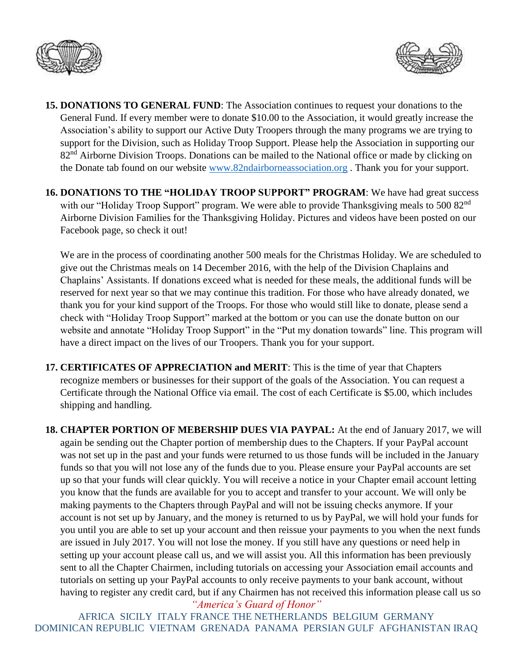



- **15. DONATIONS TO GENERAL FUND**: The Association continues to request your donations to the General Fund. If every member were to donate \$10.00 to the Association, it would greatly increase the Association's ability to support our Active Duty Troopers through the many programs we are trying to support for the Division, such as Holiday Troop Support. Please help the Association in supporting our 82<sup>nd</sup> Airborne Division Troops. Donations can be mailed to the National office or made by clicking on the Donate tab found on our website [www.82ndairborneassociation.org](http://www.82ndairborneassociation.org/) . Thank you for your support.
- **16. DONATIONS TO THE "HOLIDAY TROOP SUPPORT" PROGRAM**: We have had great success with our "Holiday Troop Support" program. We were able to provide Thanksgiving meals to 500 82<sup>nd</sup> Airborne Division Families for the Thanksgiving Holiday. Pictures and videos have been posted on our Facebook page, so check it out!

We are in the process of coordinating another 500 meals for the Christmas Holiday. We are scheduled to give out the Christmas meals on 14 December 2016, with the help of the Division Chaplains and Chaplains' Assistants. If donations exceed what is needed for these meals, the additional funds will be reserved for next year so that we may continue this tradition. For those who have already donated, we thank you for your kind support of the Troops. For those who would still like to donate, please send a check with "Holiday Troop Support" marked at the bottom or you can use the donate button on our website and annotate "Holiday Troop Support" in the "Put my donation towards" line. This program will have a direct impact on the lives of our Troopers. Thank you for your support.

**17. CERTIFICATES OF APPRECIATION and MERIT**: This is the time of year that Chapters recognize members or businesses for their support of the goals of the Association. You can request a Certificate through the National Office via email. The cost of each Certificate is \$5.00, which includes shipping and handling.

*"America's Guard of Honor"* **18. CHAPTER PORTION OF MEBERSHIP DUES VIA PAYPAL:** At the end of January 2017, we will again be sending out the Chapter portion of membership dues to the Chapters. If your PayPal account was not set up in the past and your funds were returned to us those funds will be included in the January funds so that you will not lose any of the funds due to you. Please ensure your PayPal accounts are set up so that your funds will clear quickly. You will receive a notice in your Chapter email account letting you know that the funds are available for you to accept and transfer to your account. We will only be making payments to the Chapters through PayPal and will not be issuing checks anymore. If your account is not set up by January, and the money is returned to us by PayPal, we will hold your funds for you until you are able to set up your account and then reissue your payments to you when the next funds are issued in July 2017. You will not lose the money. If you still have any questions or need help in setting up your account please call us, and we will assist you. All this information has been previously sent to all the Chapter Chairmen, including tutorials on accessing your Association email accounts and tutorials on setting up your PayPal accounts to only receive payments to your bank account, without having to register any credit card, but if any Chairmen has not received this information please call us so

AFRICA SICILY ITALY FRANCE THE NETHERLANDS BELGIUM GERMANY DOMINICAN REPUBLIC VIETNAM GRENADA PANAMA PERSIAN GULF AFGHANISTAN IRAQ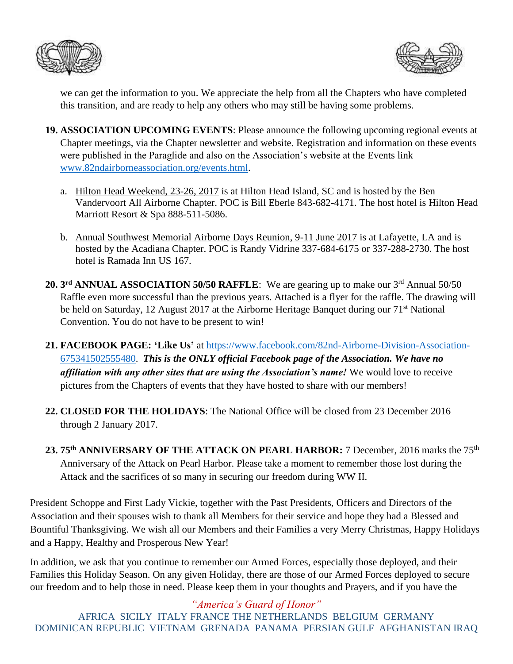



we can get the information to you. We appreciate the help from all the Chapters who have completed this transition, and are ready to help any others who may still be having some problems.

- **19. ASSOCIATION UPCOMING EVENTS**: Please announce the following upcoming regional events at Chapter meetings, via the Chapter newsletter and website. Registration and information on these events were published in the Paraglide and also on the Association's website at the Events link [www.82ndairborneassociation.org/events.html.](http://www.82ndairborneassociation.org/events.html)
	- a. Hilton Head Weekend, 23-26, 2017 is at Hilton Head Island, SC and is hosted by the Ben Vandervoort All Airborne Chapter. POC is Bill Eberle 843-682-4171. The host hotel is Hilton Head Marriott Resort & Spa 888-511-5086.
	- b. Annual Southwest Memorial Airborne Days Reunion, 9-11 June 2017 is at Lafayette, LA and is hosted by the Acadiana Chapter. POC is Randy Vidrine 337-684-6175 or 337-288-2730. The host hotel is Ramada Inn US 167.
- 20. 3<sup>rd</sup> ANNUAL ASSOCIATION 50/50 RAFFLE: We are gearing up to make our 3<sup>rd</sup> Annual 50/50 Raffle even more successful than the previous years. Attached is a flyer for the raffle. The drawing will be held on Saturday, 12 August 2017 at the Airborne Heritage Banquet during our 71<sup>st</sup> National Convention. You do not have to be present to win!
- **21. FACEBOOK PAGE: 'Like Us'** at [https://www.facebook.com/82nd-Airborne-Division-Association-](https://www.facebook.com/82nd-Airborne-Division-Association-675341502555480)[675341502555480.](https://www.facebook.com/82nd-Airborne-Division-Association-675341502555480) *This is the ONLY official Facebook page of the Association. We have no affiliation with any other sites that are using the Association's name!* We would love to receive pictures from the Chapters of events that they have hosted to share with our members!
- **22. CLOSED FOR THE HOLIDAYS**: The National Office will be closed from 23 December 2016 through 2 January 2017.
- **23. 75th ANNIVERSARY OF THE ATTACK ON PEARL HARBOR:** 7 December, 2016 marks the 75th Anniversary of the Attack on Pearl Harbor. Please take a moment to remember those lost during the Attack and the sacrifices of so many in securing our freedom during WW II.

President Schoppe and First Lady Vickie, together with the Past Presidents, Officers and Directors of the Association and their spouses wish to thank all Members for their service and hope they had a Blessed and Bountiful Thanksgiving. We wish all our Members and their Families a very Merry Christmas, Happy Holidays and a Happy, Healthy and Prosperous New Year!

In addition, we ask that you continue to remember our Armed Forces, especially those deployed, and their Families this Holiday Season. On any given Holiday, there are those of our Armed Forces deployed to secure our freedom and to help those in need. Please keep them in your thoughts and Prayers, and if you have the

*"America's Guard of Honor"* AFRICA SICILY ITALY FRANCE THE NETHERLANDS BELGIUM GERMANY DOMINICAN REPUBLIC VIETNAM GRENADA PANAMA PERSIAN GULF AFGHANISTAN IRAQ